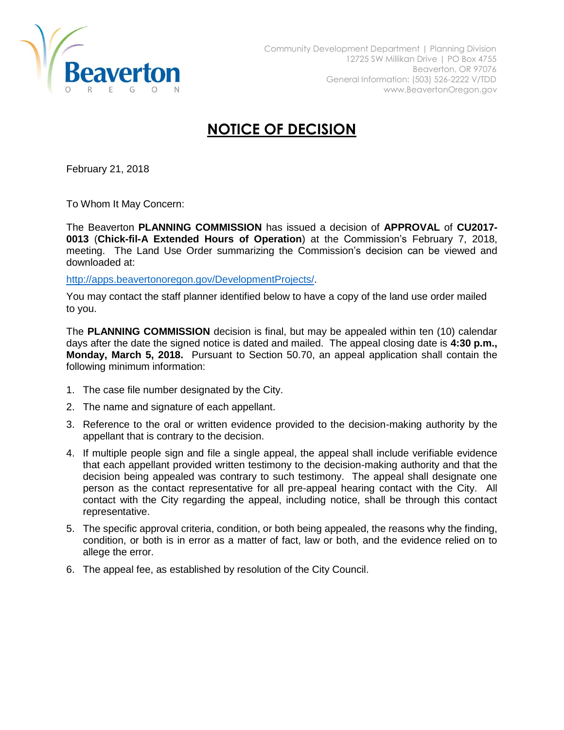

## **NOTICE OF DECISION**

February 21, 2018

To Whom It May Concern:

The Beaverton **PLANNING COMMISSION** has issued a decision of **APPROVAL** of **CU2017- 0013** (**Chick-fil-A Extended Hours of Operation**) at the Commission's February 7, 2018, meeting. The Land Use Order summarizing the Commission's decision can be viewed and downloaded at:

[http://apps.beavertonoregon.gov/DevelopmentProjects/.](http://apps.beavertonoregon.gov/DevelopmentProjects/)

You may contact the staff planner identified below to have a copy of the land use order mailed to you.

The **PLANNING COMMISSION** decision is final, but may be appealed within ten (10) calendar days after the date the signed notice is dated and mailed. The appeal closing date is **4:30 p.m., Monday, March 5, 2018.** Pursuant to Section 50.70, an appeal application shall contain the following minimum information:

- 1. The case file number designated by the City.
- 2. The name and signature of each appellant.
- 3. Reference to the oral or written evidence provided to the decision-making authority by the appellant that is contrary to the decision.
- 4. If multiple people sign and file a single appeal, the appeal shall include verifiable evidence that each appellant provided written testimony to the decision-making authority and that the decision being appealed was contrary to such testimony. The appeal shall designate one person as the contact representative for all pre-appeal hearing contact with the City. All contact with the City regarding the appeal, including notice, shall be through this contact representative.
- 5. The specific approval criteria, condition, or both being appealed, the reasons why the finding, condition, or both is in error as a matter of fact, law or both, and the evidence relied on to allege the error.
- 6. The appeal fee, as established by resolution of the City Council.